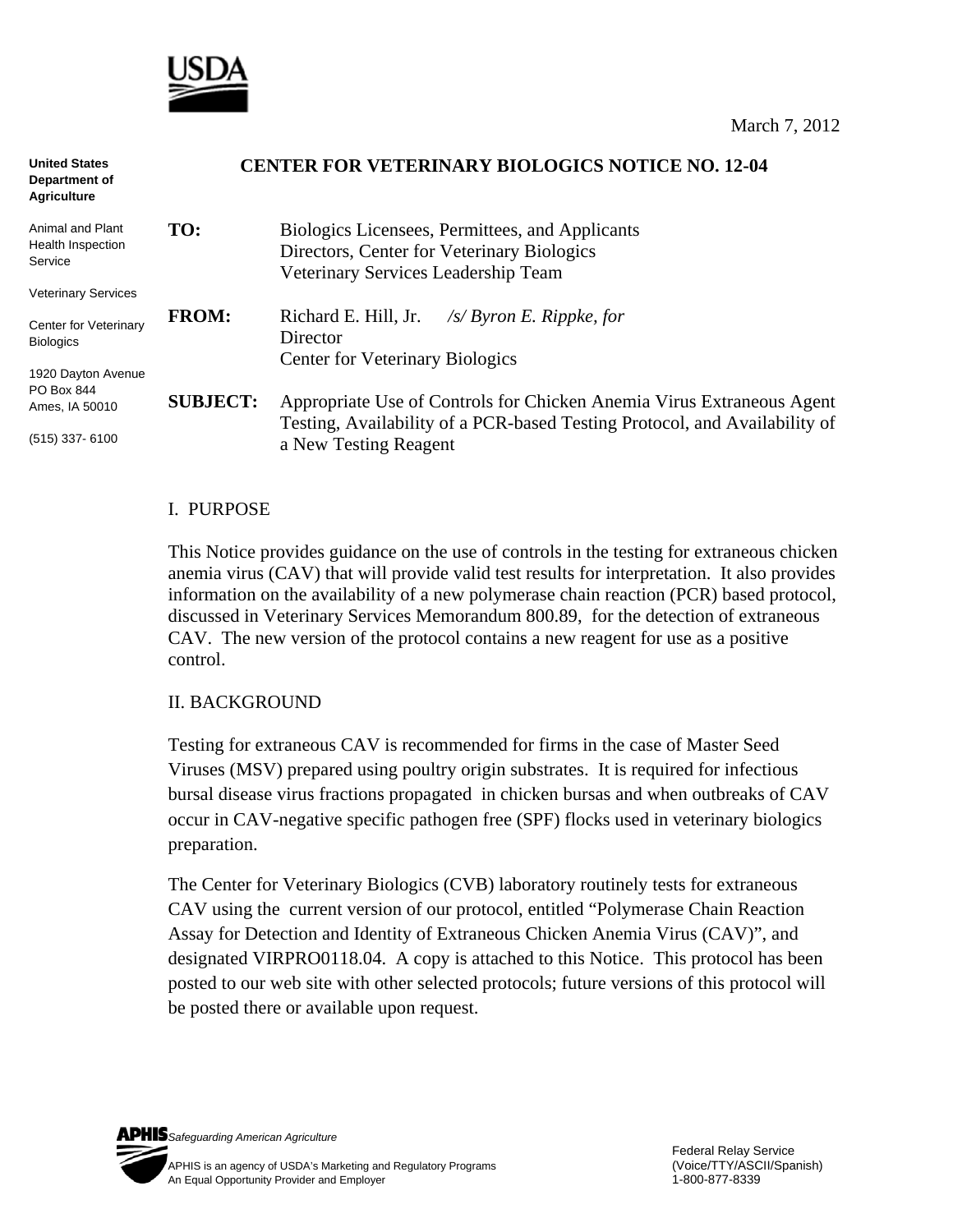

| <b>United States</b><br>Department of<br><b>Agriculture</b> |                 | <b>CENTER FOR VETERINARY BIOLOGICS NOTICE NO. 12-04</b>                                                                                             |
|-------------------------------------------------------------|-----------------|-----------------------------------------------------------------------------------------------------------------------------------------------------|
| Animal and Plant<br>Health Inspection<br>Service            | TO:             | Biologics Licensees, Permittees, and Applicants<br>Directors, Center for Veterinary Biologics<br>Veterinary Services Leadership Team                |
| <b>Veterinary Services</b>                                  |                 |                                                                                                                                                     |
| <b>Center for Veterinary</b><br><b>Biologics</b>            | <b>FROM:</b>    | Richard E. Hill, Jr.<br>$\sqrt{s}$ Byron E. Rippke, for<br>Director<br><b>Center for Veterinary Biologics</b>                                       |
| 1920 Dayton Avenue                                          |                 |                                                                                                                                                     |
| PO Box 844<br>Ames, IA 50010                                | <b>SUBJECT:</b> | Appropriate Use of Controls for Chicken Anemia Virus Extraneous Agent<br>Testing, Availability of a PCR-based Testing Protocol, and Availability of |
| $(515)$ 337-6100                                            |                 | a New Testing Reagent                                                                                                                               |

#### I. PURPOSE

This Notice provides guidance on the use of controls in the testing for extraneous chicken anemia virus (CAV) that will provide valid test results for interpretation. It also provides information on the availability of a new polymerase chain reaction (PCR) based protocol, discussed in Veterinary Services Memorandum 800.89, for the detection of extraneous CAV. The new version of the protocol contains a new reagent for use as a positive control.

### II. BACKGROUND

Testing for extraneous CAV is recommended for firms in the case of Master Seed Viruses (MSV) prepared using poultry origin substrates. It is required for infectious bursal disease virus fractions propagated in chicken bursas and when outbreaks of CAV occur in CAV-negative specific pathogen free (SPF) flocks used in veterinary biologics preparation.

The Center for Veterinary Biologics (CVB) laboratory routinely tests for extraneous CAV using the current version of our protocol, entitled "Polymerase Chain Reaction Assay for Detection and Identity of Extraneous Chicken Anemia Virus (CAV)", and designated VIRPRO0118.04. A copy is attached to this Notice. This protocol has been posted to our web site with other selected protocols; future versions of this protocol will be posted there or available upon request.

*Safeguarding American Agriculture*  APHIS is an agency of USDA's Marketing and Regulatory Programs(Voice/TTY/ASCII/Spanish) An Equal Opportunity Provider and Employer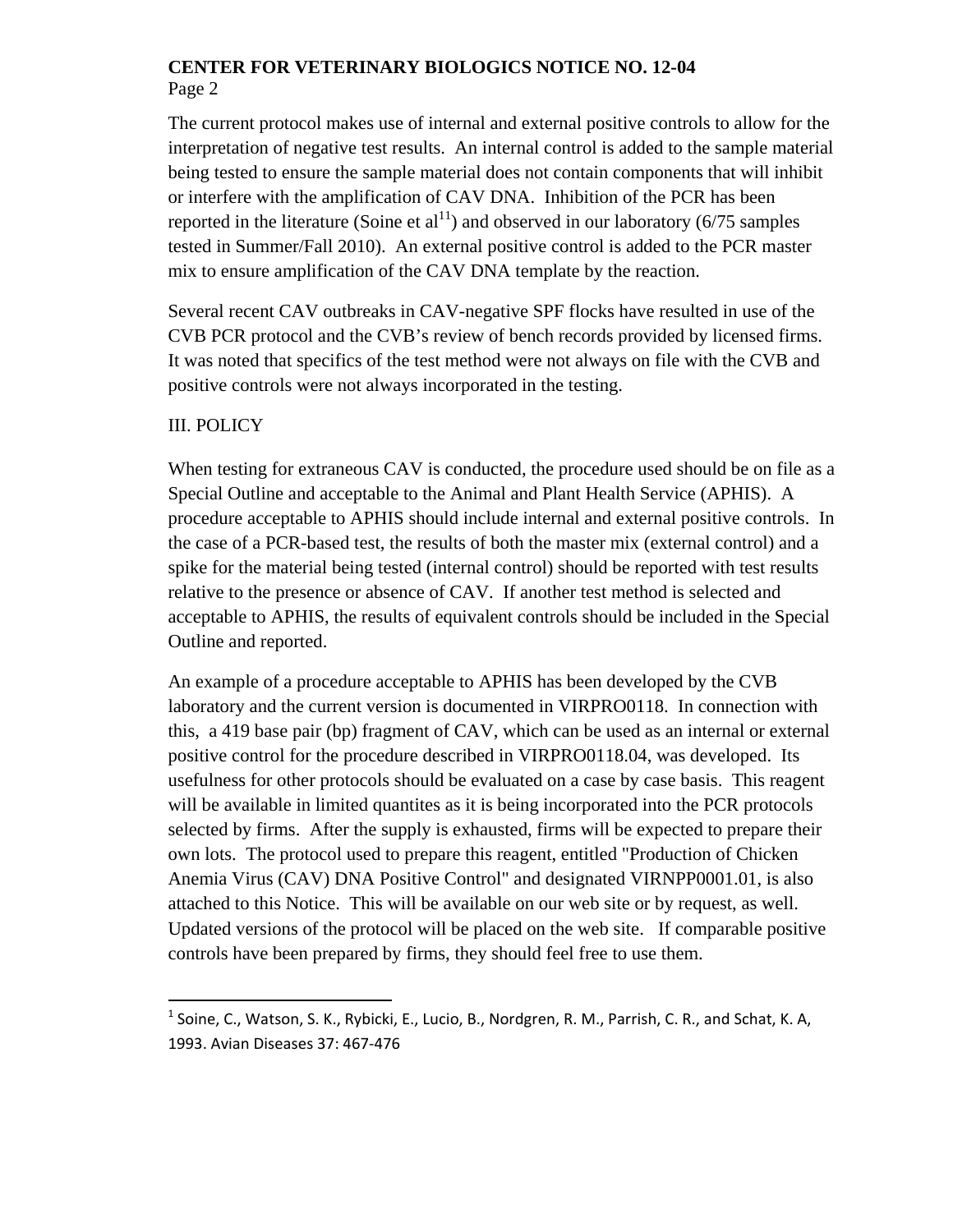## **CENTER FOR VETERINARY BIOLOGICS NOTICE NO. 12-04**  Page 2

The current protocol makes use of internal and external positive controls to allow for the interpretation of negative test results. An internal control is added to the sample material being tested to ensure the sample material does not contain components that will inhibit or interfere with the amplification of CAV DNA. Inhibition of the PCR has been reported in the literature (Soine et al<sup>11</sup>) and observed in our laboratory (6/75 samples tested in Summer/Fall 2010). An external positive control is added to the PCR master mix to ensure amplification of the CAV DNA template by the reaction.

Several recent CAV outbreaks in CAV-negative SPF flocks have resulted in use of the CVB PCR protocol and the CVB's review of bench records provided by licensed firms. It was noted that specifics of the test method were not always on file with the CVB and positive controls were not always incorporated in the testing.

# III. POLICY

When testing for extraneous CAV is conducted, the procedure used should be on file as a Special Outline and acceptable to the Animal and Plant Health Service (APHIS). A procedure acceptable to APHIS should include internal and external positive controls. In the case of a PCR-based test, the results of both the master mix (external control) and a spike for the material being tested (internal control) should be reported with test results relative to the presence or absence of CAV. If another test method is selected and acceptable to APHIS, the results of equivalent controls should be included in the Special Outline and reported.

An example of a procedure acceptable to APHIS has been developed by the CVB laboratory and the current version is documented in VIRPRO0118. In connection with this, a 419 base pair (bp) fragment of CAV, which can be used as an internal or external positive control for the procedure described in VIRPRO0118.04, was developed. Its usefulness for other protocols should be evaluated on a case by case basis. This reagent will be available in limited quantites as it is being incorporated into the PCR protocols selected by firms. After the supply is exhausted, firms will be expected to prepare their own lots. The protocol used to prepare this reagent, entitled "Production of Chicken Anemia Virus (CAV) DNA Positive Control" and designated VIRNPP0001.01, is also attached to this Notice. This will be available on our web site or by request, as well. Updated versions of the protocol will be placed on the web site. If comparable positive controls have been prepared by firms, they should feel free to use them.

 $1$  Soine, C., Watson, S. K., Rybicki, E., Lucio, B., Nordgren, R. M., Parrish, C. R., and Schat, K. A, 1993. Avian Diseases 37: 467‐476